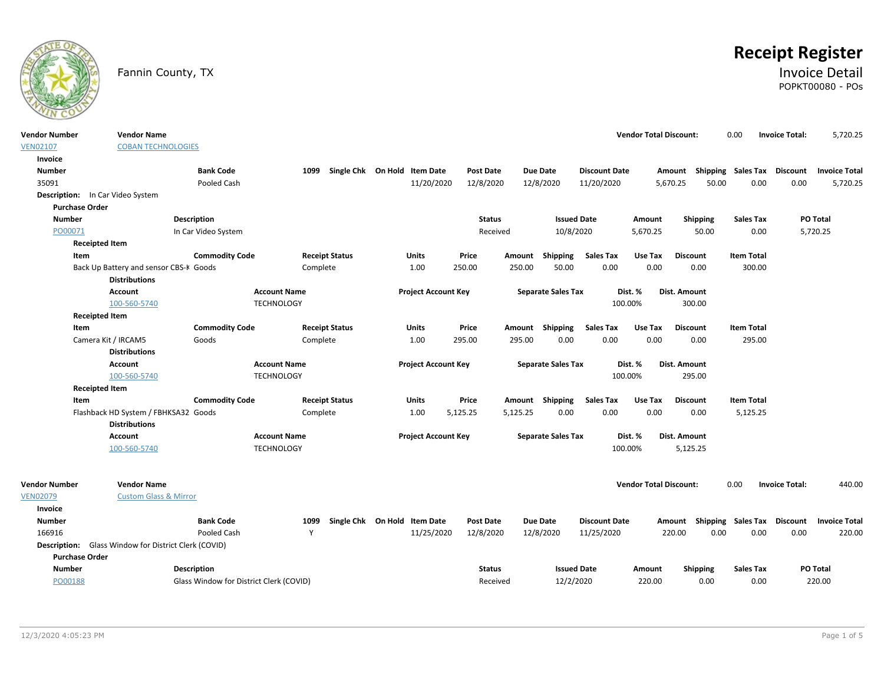

# **Receipt Register**

### Fannin County, TX **Invoice Detail** POPKT00080 - POs

| <b>Vendor Number</b>             | <b>Vendor Name</b>                                          |                                         |                     |          |                                   |                            |          |                  |          |                           |                          | <b>Vendor Total Discount:</b> |                  |                         | 0.00                        | <b>Invoice Total:</b>              | 5,720.25             |
|----------------------------------|-------------------------------------------------------------|-----------------------------------------|---------------------|----------|-----------------------------------|----------------------------|----------|------------------|----------|---------------------------|--------------------------|-------------------------------|------------------|-------------------------|-----------------------------|------------------------------------|----------------------|
| <b>VEN02107</b>                  | <b>COBAN TECHNOLOGIES</b>                                   |                                         |                     |          |                                   |                            |          |                  |          |                           |                          |                               |                  |                         |                             |                                    |                      |
| Invoice                          |                                                             |                                         |                     |          |                                   |                            |          |                  |          |                           |                          |                               |                  |                         |                             |                                    |                      |
| <b>Number</b>                    |                                                             | <b>Bank Code</b>                        |                     |          | 1099 Single Chk On Hold Item Date |                            |          | <b>Post Date</b> |          | <b>Due Date</b>           | <b>Discount Date</b>     |                               |                  |                         |                             | Amount Shipping Sales Tax Discount | <b>Invoice Total</b> |
| 35091                            |                                                             | Pooled Cash                             |                     |          |                                   | 11/20/2020                 |          | 12/8/2020        |          | 12/8/2020                 | 11/20/2020               |                               | 5,670.25         | 50.00                   | 0.00                        | 0.00                               | 5,720.25             |
| Description: In Car Video System |                                                             |                                         |                     |          |                                   |                            |          |                  |          |                           |                          |                               |                  |                         |                             |                                    |                      |
| <b>Purchase Order</b>            |                                                             |                                         |                     |          |                                   |                            |          |                  |          |                           |                          |                               |                  |                         |                             |                                    |                      |
| <b>Number</b>                    |                                                             | Description                             |                     |          |                                   |                            |          | <b>Status</b>    |          | <b>Issued Date</b>        |                          | Amount                        |                  | Shipping                | <b>Sales Tax</b>            |                                    | <b>PO Total</b>      |
| PO00071                          |                                                             | In Car Video System                     |                     |          |                                   |                            |          | Received         |          | 10/8/2020                 |                          | 5,670.25                      |                  | 50.00                   | 0.00                        |                                    | 5,720.25             |
| <b>Receipted Item</b>            |                                                             |                                         |                     |          |                                   |                            |          |                  |          |                           |                          |                               |                  |                         |                             |                                    |                      |
| Item                             |                                                             | <b>Commodity Code</b>                   |                     |          | <b>Receipt Status</b>             | Units                      |          | Price            | Amount   | Shipping                  | <b>Sales Tax</b>         | Use Tax                       |                  | <b>Discount</b>         | <b>Item Total</b>           |                                    |                      |
|                                  | Back Up Battery and sensor CBS-K Goods                      |                                         |                     | Complete |                                   | 1.00                       | 250.00   |                  | 250.00   | 50.00                     | 0.00                     | 0.00                          |                  | 0.00                    | 300.00                      |                                    |                      |
|                                  | <b>Distributions</b>                                        |                                         |                     |          |                                   |                            |          |                  |          |                           |                          |                               |                  |                         |                             |                                    |                      |
|                                  | <b>Account</b>                                              |                                         | <b>Account Name</b> |          |                                   | <b>Project Account Key</b> |          |                  |          | <b>Separate Sales Tax</b> |                          | Dist. %                       | Dist. Amount     |                         |                             |                                    |                      |
|                                  | 100-560-5740                                                |                                         | <b>TECHNOLOGY</b>   |          |                                   |                            |          |                  |          |                           |                          | 100.00%                       |                  | 300.00                  |                             |                                    |                      |
| <b>Receipted Item</b>            |                                                             |                                         |                     |          |                                   |                            |          |                  |          |                           |                          |                               |                  |                         |                             |                                    |                      |
| Item<br>Camera Kit / IRCAM5      |                                                             | <b>Commodity Code</b>                   |                     |          | <b>Receipt Status</b>             | Units<br>1.00              | 295.00   | Price            | 295.00   | Amount Shipping<br>0.00   | <b>Sales Tax</b><br>0.00 | Use Tax<br>0.00               |                  | <b>Discount</b><br>0.00 | <b>Item Total</b><br>295.00 |                                    |                      |
|                                  | <b>Distributions</b>                                        | Goods                                   |                     | Complete |                                   |                            |          |                  |          |                           |                          |                               |                  |                         |                             |                                    |                      |
|                                  | <b>Account</b>                                              |                                         | <b>Account Name</b> |          |                                   | <b>Project Account Key</b> |          |                  |          | <b>Separate Sales Tax</b> |                          | Dist. %                       | Dist. Amount     |                         |                             |                                    |                      |
|                                  | 100-560-5740                                                |                                         | <b>TECHNOLOGY</b>   |          |                                   |                            |          |                  |          |                           |                          | 100.00%                       |                  | 295.00                  |                             |                                    |                      |
| <b>Receipted Item</b>            |                                                             |                                         |                     |          |                                   |                            |          |                  |          |                           |                          |                               |                  |                         |                             |                                    |                      |
| Item                             |                                                             | <b>Commodity Code</b>                   |                     |          | <b>Receipt Status</b>             | Units                      |          | Price            |          | Amount Shipping           | <b>Sales Tax</b>         | Use Tax                       |                  | <b>Discount</b>         | <b>Item Total</b>           |                                    |                      |
|                                  | Flashback HD System / FBHKSA32 Goods                        |                                         |                     | Complete |                                   | 1.00                       | 5,125.25 |                  | 5,125.25 | 0.00                      | 0.00                     | 0.00                          |                  | 0.00                    | 5,125.25                    |                                    |                      |
|                                  | <b>Distributions</b>                                        |                                         |                     |          |                                   |                            |          |                  |          |                           |                          |                               |                  |                         |                             |                                    |                      |
|                                  | Account                                                     |                                         | <b>Account Name</b> |          |                                   | <b>Project Account Key</b> |          |                  |          | <b>Separate Sales Tax</b> |                          | Dist. %                       | Dist. Amount     |                         |                             |                                    |                      |
|                                  | 100-560-5740                                                |                                         | <b>TECHNOLOGY</b>   |          |                                   |                            |          |                  |          |                           |                          | 100.00%                       |                  | 5,125.25                |                             |                                    |                      |
|                                  |                                                             |                                         |                     |          |                                   |                            |          |                  |          |                           |                          |                               |                  |                         |                             |                                    |                      |
|                                  |                                                             |                                         |                     |          |                                   |                            |          |                  |          |                           |                          |                               |                  |                         |                             |                                    |                      |
| <b>Vendor Number</b>             | <b>Vendor Name</b>                                          |                                         |                     |          |                                   |                            |          |                  |          |                           |                          | <b>Vendor Total Discount:</b> |                  |                         | 0.00                        | <b>Invoice Total:</b>              | 440.00               |
| <b>VEN02079</b>                  | <b>Custom Glass &amp; Mirror</b>                            |                                         |                     |          |                                   |                            |          |                  |          |                           |                          |                               |                  |                         |                             |                                    |                      |
| Invoice<br><b>Number</b>         |                                                             | <b>Bank Code</b>                        |                     | 1099     | Single Chk On Hold Item Date      |                            |          | <b>Post Date</b> |          | <b>Due Date</b>           | <b>Discount Date</b>     |                               |                  |                         | Shipping Sales Tax          | Discount                           | <b>Invoice Total</b> |
| 166916                           |                                                             | Pooled Cash                             |                     | Y        |                                   | 11/25/2020                 |          | 12/8/2020        |          | 12/8/2020                 | 11/25/2020               |                               | Amount<br>220.00 | 0.00                    | 0.00                        | 0.00                               | 220.00               |
|                                  | <b>Description:</b> Glass Window for District Clerk (COVID) |                                         |                     |          |                                   |                            |          |                  |          |                           |                          |                               |                  |                         |                             |                                    |                      |
| <b>Purchase Order</b>            |                                                             |                                         |                     |          |                                   |                            |          |                  |          |                           |                          |                               |                  |                         |                             |                                    |                      |
| <b>Number</b>                    |                                                             | <b>Description</b>                      |                     |          |                                   |                            |          | <b>Status</b>    |          | <b>Issued Date</b>        |                          | Amount                        |                  | Shipping                | <b>Sales Tax</b>            |                                    | PO Total             |
| PO00188                          |                                                             | Glass Window for District Clerk (COVID) |                     |          |                                   |                            |          | Received         |          | 12/2/2020                 |                          | 220.00                        |                  | 0.00                    | 0.00                        |                                    | 220.00               |
|                                  |                                                             |                                         |                     |          |                                   |                            |          |                  |          |                           |                          |                               |                  |                         |                             |                                    |                      |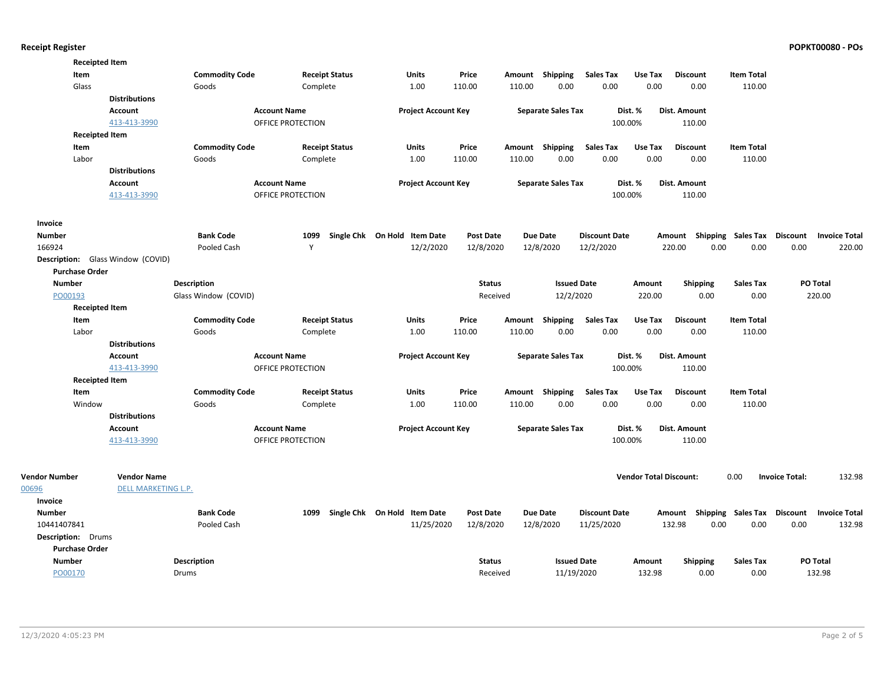| <b>Receipted Item</b>                    |                      |                       |                     |                       |                              |                  |        |                           |                      |                               |                 |      |                                    |                       |                      |
|------------------------------------------|----------------------|-----------------------|---------------------|-----------------------|------------------------------|------------------|--------|---------------------------|----------------------|-------------------------------|-----------------|------|------------------------------------|-----------------------|----------------------|
| Item                                     |                      | <b>Commodity Code</b> |                     | <b>Receipt Status</b> | <b>Units</b>                 | Price            |        | Amount Shipping           | <b>Sales Tax</b>     | Use Tax                       | <b>Discount</b> |      | <b>Item Total</b>                  |                       |                      |
| Glass                                    |                      | Goods                 | Complete            |                       | 1.00                         | 110.00           | 110.00 | 0.00                      | 0.00                 | 0.00                          | 0.00            |      | 110.00                             |                       |                      |
|                                          | <b>Distributions</b> |                       |                     |                       |                              |                  |        |                           |                      |                               |                 |      |                                    |                       |                      |
|                                          | Account              |                       | <b>Account Name</b> |                       | <b>Project Account Key</b>   |                  |        | <b>Separate Sales Tax</b> |                      | Dist. %                       | Dist. Amount    |      |                                    |                       |                      |
|                                          | 413-413-3990         |                       | OFFICE PROTECTION   |                       |                              |                  |        |                           | 100.00%              |                               | 110.00          |      |                                    |                       |                      |
| <b>Receipted Item</b>                    |                      |                       |                     |                       |                              |                  |        |                           |                      |                               |                 |      |                                    |                       |                      |
| Item                                     |                      | <b>Commodity Code</b> |                     | <b>Receipt Status</b> | <b>Units</b>                 | Price            | Amount | Shipping                  | <b>Sales Tax</b>     | Use Tax                       | <b>Discount</b> |      | <b>Item Total</b>                  |                       |                      |
| Labor                                    |                      | Goods                 | Complete            |                       | 1.00                         | 110.00           | 110.00 | 0.00                      | 0.00                 | 0.00                          | 0.00            |      | 110.00                             |                       |                      |
|                                          | <b>Distributions</b> |                       |                     |                       |                              |                  |        |                           |                      |                               |                 |      |                                    |                       |                      |
|                                          | Account              |                       | <b>Account Name</b> |                       | <b>Project Account Key</b>   |                  |        | <b>Separate Sales Tax</b> |                      | Dist. %                       | Dist. Amount    |      |                                    |                       |                      |
|                                          | 413-413-3990         |                       | OFFICE PROTECTION   |                       |                              |                  |        |                           | 100.00%              |                               | 110.00          |      |                                    |                       |                      |
| Invoice                                  |                      |                       |                     |                       |                              |                  |        |                           |                      |                               |                 |      |                                    |                       |                      |
| <b>Number</b>                            |                      | <b>Bank Code</b>      | 1099                |                       | Single Chk On Hold Item Date | <b>Post Date</b> |        | Due Date                  | <b>Discount Date</b> |                               |                 |      | Amount Shipping Sales Tax          | Discount              | <b>Invoice Total</b> |
| 166924                                   |                      | Pooled Cash           | Y                   |                       | 12/2/2020                    | 12/8/2020        |        | 12/8/2020                 | 12/2/2020            |                               | 220.00          | 0.00 | 0.00                               | 0.00                  | 220.00               |
| <b>Description:</b> Glass Window (COVID) |                      |                       |                     |                       |                              |                  |        |                           |                      |                               |                 |      |                                    |                       |                      |
| <b>Purchase Order</b>                    |                      |                       |                     |                       |                              |                  |        |                           |                      |                               |                 |      |                                    |                       |                      |
| <b>Number</b>                            |                      | Description           |                     |                       |                              | <b>Status</b>    |        | <b>Issued Date</b>        |                      | Amount                        | <b>Shipping</b> |      | <b>Sales Tax</b>                   |                       | PO Total             |
| PO00193                                  |                      | Glass Window (COVID)  |                     |                       |                              | Received         |        | 12/2/2020                 |                      | 220.00                        |                 | 0.00 | 0.00                               |                       | 220.00               |
| <b>Receipted Item</b>                    |                      |                       |                     |                       |                              |                  |        |                           |                      |                               |                 |      |                                    |                       |                      |
| Item                                     |                      | <b>Commodity Code</b> |                     | <b>Receipt Status</b> | <b>Units</b>                 | Price            | Amount | Shipping                  | <b>Sales Tax</b>     | Use Tax                       | <b>Discount</b> |      | <b>Item Total</b>                  |                       |                      |
| Labor                                    |                      | Goods                 | Complete            |                       | 1.00                         | 110.00           | 110.00 | 0.00                      | 0.00                 | 0.00                          | 0.00            |      | 110.00                             |                       |                      |
|                                          | <b>Distributions</b> |                       |                     |                       |                              |                  |        |                           |                      |                               |                 |      |                                    |                       |                      |
|                                          | <b>Account</b>       |                       | <b>Account Name</b> |                       | <b>Project Account Key</b>   |                  |        | <b>Separate Sales Tax</b> |                      | Dist. %                       | Dist. Amount    |      |                                    |                       |                      |
|                                          | 413-413-3990         |                       | OFFICE PROTECTION   |                       |                              |                  |        |                           | 100.00%              |                               | 110.00          |      |                                    |                       |                      |
| <b>Receipted Item</b>                    |                      |                       |                     |                       |                              |                  |        |                           |                      |                               |                 |      |                                    |                       |                      |
| Item                                     |                      | <b>Commodity Code</b> |                     | <b>Receipt Status</b> | <b>Units</b>                 | Price            |        | Amount Shipping           | <b>Sales Tax</b>     | Use Tax                       | <b>Discount</b> |      | <b>Item Total</b>                  |                       |                      |
| Window                                   |                      | Goods                 | Complete            |                       | 1.00                         | 110.00           | 110.00 | 0.00                      | 0.00                 | 0.00                          | 0.00            |      | 110.00                             |                       |                      |
|                                          | <b>Distributions</b> |                       |                     |                       |                              |                  |        |                           |                      |                               |                 |      |                                    |                       |                      |
|                                          |                      |                       |                     |                       |                              |                  |        |                           |                      |                               |                 |      |                                    |                       |                      |
|                                          | Account              |                       | <b>Account Name</b> |                       | <b>Project Account Key</b>   |                  |        | <b>Separate Sales Tax</b> |                      | Dist. %                       | Dist. Amount    |      |                                    |                       |                      |
|                                          | 413-413-3990         |                       | OFFICE PROTECTION   |                       |                              |                  |        |                           | 100.00%              |                               | 110.00          |      |                                    |                       |                      |
| <b>Vendor Number</b>                     | <b>Vendor Name</b>   |                       |                     |                       |                              |                  |        |                           |                      | <b>Vendor Total Discount:</b> |                 |      | 0.00                               | <b>Invoice Total:</b> | 132.98               |
| 00696                                    | DELL MARKETING L.P.  |                       |                     |                       |                              |                  |        |                           |                      |                               |                 |      |                                    |                       |                      |
| Invoice                                  |                      |                       |                     |                       |                              |                  |        |                           |                      |                               |                 |      |                                    |                       |                      |
| <b>Number</b>                            |                      | <b>Bank Code</b>      | 1099                |                       | Single Chk On Hold Item Date | <b>Post Date</b> |        | <b>Due Date</b>           | <b>Discount Date</b> |                               |                 |      | Amount Shipping Sales Tax Discount |                       | <b>Invoice Total</b> |
| 10441407841                              |                      | Pooled Cash           |                     |                       | 11/25/2020                   | 12/8/2020        |        | 12/8/2020                 | 11/25/2020           |                               | 132.98          | 0.00 | 0.00                               | 0.00                  | 132.98               |
| Description: Drums                       |                      |                       |                     |                       |                              |                  |        |                           |                      |                               |                 |      |                                    |                       |                      |
| <b>Purchase Order</b>                    |                      |                       |                     |                       |                              |                  |        |                           |                      |                               |                 |      |                                    |                       |                      |
| <b>Number</b>                            |                      | <b>Description</b>    |                     |                       |                              | <b>Status</b>    |        | <b>Issued Date</b>        |                      | Amount                        | <b>Shipping</b> |      | <b>Sales Tax</b>                   |                       | PO Total             |
| PO00170                                  |                      | Drums                 |                     |                       |                              | Received         |        | 11/19/2020                |                      | 132.98                        |                 | 0.00 | 0.00                               |                       | 132.98               |
|                                          |                      |                       |                     |                       |                              |                  |        |                           |                      |                               |                 |      |                                    |                       |                      |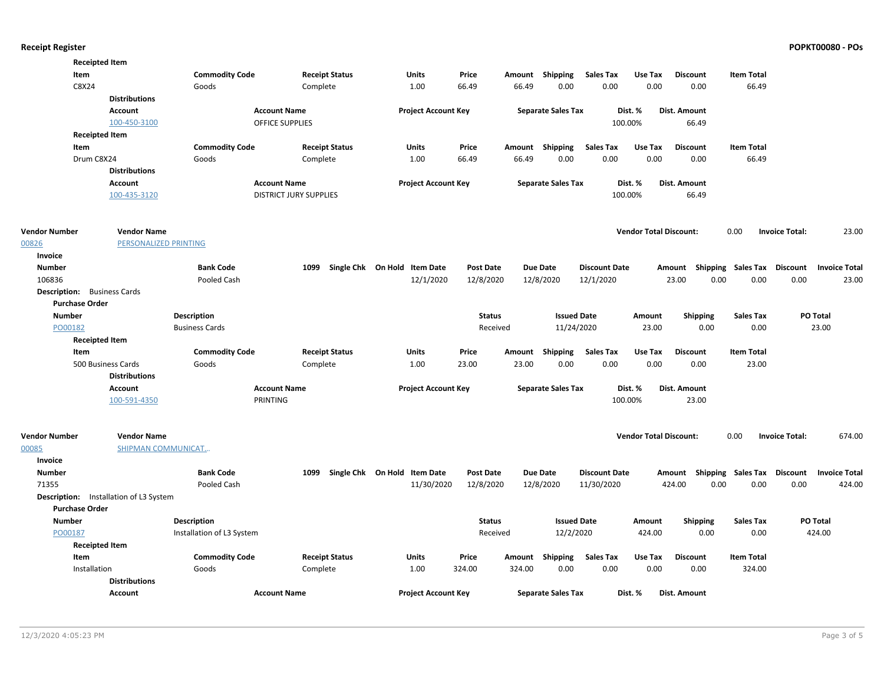|                       | <b>Receipted Item</b>                  |                           |                               |                              |                  |                 |                           |                      |                               |                                    |                   |                       |                      |
|-----------------------|----------------------------------------|---------------------------|-------------------------------|------------------------------|------------------|-----------------|---------------------------|----------------------|-------------------------------|------------------------------------|-------------------|-----------------------|----------------------|
|                       | Item                                   | <b>Commodity Code</b>     | <b>Receipt Status</b>         | <b>Units</b>                 | Price            | Amount Shipping |                           | <b>Sales Tax</b>     | Use Tax                       | <b>Discount</b>                    | <b>Item Total</b> |                       |                      |
|                       | C8X24                                  | Goods                     | Complete                      | 1.00                         | 66.49            | 66.49           | 0.00                      | 0.00                 | 0.00                          | 0.00                               | 66.49             |                       |                      |
|                       | <b>Distributions</b>                   |                           |                               |                              |                  |                 |                           |                      |                               |                                    |                   |                       |                      |
|                       | Account                                |                           | <b>Account Name</b>           | <b>Project Account Key</b>   |                  |                 | <b>Separate Sales Tax</b> |                      | Dist. %                       | Dist. Amount                       |                   |                       |                      |
|                       | 100-450-3100                           |                           | <b>OFFICE SUPPLIES</b>        |                              |                  |                 |                           | 100.00%              |                               | 66.49                              |                   |                       |                      |
|                       | <b>Receipted Item</b>                  |                           |                               |                              |                  |                 |                           |                      |                               |                                    |                   |                       |                      |
|                       | Item                                   | <b>Commodity Code</b>     | <b>Receipt Status</b>         | Units                        | Price            | Amount Shipping |                           | <b>Sales Tax</b>     | Use Tax                       | <b>Discount</b>                    | <b>Item Total</b> |                       |                      |
|                       | Drum C8X24                             | Goods                     | Complete                      | 1.00                         | 66.49            | 66.49           | 0.00                      | 0.00                 | 0.00                          | 0.00                               | 66.49             |                       |                      |
|                       | <b>Distributions</b>                   |                           |                               |                              |                  |                 |                           |                      |                               |                                    |                   |                       |                      |
|                       | Account                                |                           | <b>Account Name</b>           | <b>Project Account Key</b>   |                  |                 | <b>Separate Sales Tax</b> | Dist. %              |                               | Dist. Amount                       |                   |                       |                      |
|                       | 100-435-3120                           |                           | <b>DISTRICT JURY SUPPLIES</b> |                              |                  |                 |                           | 100.00%              |                               | 66.49                              |                   |                       |                      |
| <b>Vendor Number</b>  | <b>Vendor Name</b>                     |                           |                               |                              |                  |                 |                           |                      | <b>Vendor Total Discount:</b> |                                    | 0.00              | <b>Invoice Total:</b> | 23.00                |
| 00826                 | PERSONALIZED PRINTING                  |                           |                               |                              |                  |                 |                           |                      |                               |                                    |                   |                       |                      |
| Invoice               |                                        |                           |                               |                              |                  |                 |                           |                      |                               |                                    |                   |                       |                      |
| <b>Number</b>         |                                        | <b>Bank Code</b>          | 1099                          | Single Chk On Hold Item Date | <b>Post Date</b> | <b>Due Date</b> |                           | <b>Discount Date</b> |                               | Amount Shipping Sales Tax Discount |                   |                       | <b>Invoice Total</b> |
| 106836                |                                        | Pooled Cash               |                               | 12/1/2020                    | 12/8/2020        | 12/8/2020       |                           | 12/1/2020            |                               | 23.00<br>0.00                      | 0.00              | 0.00                  | 23.00                |
|                       | <b>Description:</b> Business Cards     |                           |                               |                              |                  |                 |                           |                      |                               |                                    |                   |                       |                      |
| <b>Purchase Order</b> |                                        |                           |                               |                              |                  |                 |                           |                      |                               |                                    |                   |                       |                      |
| <b>Number</b>         |                                        | <b>Description</b>        |                               |                              | <b>Status</b>    |                 | <b>Issued Date</b>        |                      | Amount                        | <b>Shipping</b>                    | <b>Sales Tax</b>  |                       | PO Total             |
| PO00182               |                                        | <b>Business Cards</b>     |                               |                              | Received         |                 | 11/24/2020                |                      | 23.00                         | 0.00                               | 0.00              |                       | 23.00                |
|                       | <b>Receipted Item</b>                  |                           |                               |                              |                  |                 |                           |                      |                               |                                    |                   |                       |                      |
|                       | Item                                   | <b>Commodity Code</b>     | <b>Receipt Status</b>         | Units                        | Price            | Amount Shipping |                           | <b>Sales Tax</b>     | Use Tax                       | <b>Discount</b>                    | <b>Item Total</b> |                       |                      |
|                       | 500 Business Cards                     | Goods                     | Complete                      | 1.00                         | 23.00            | 23.00           | 0.00                      | 0.00                 | 0.00                          | 0.00                               | 23.00             |                       |                      |
|                       | <b>Distributions</b>                   |                           |                               |                              |                  |                 |                           |                      |                               |                                    |                   |                       |                      |
|                       | Account                                |                           | <b>Account Name</b>           | <b>Project Account Key</b>   |                  |                 | <b>Separate Sales Tax</b> |                      | Dist. %                       | <b>Dist. Amount</b>                |                   |                       |                      |
|                       | 100-591-4350                           | PRINTING                  |                               |                              |                  |                 |                           | 100.00%              |                               | 23.00                              |                   |                       |                      |
|                       |                                        |                           |                               |                              |                  |                 |                           |                      |                               |                                    |                   |                       |                      |
| <b>Vendor Number</b>  | <b>Vendor Name</b>                     |                           |                               |                              |                  |                 |                           |                      | <b>Vendor Total Discount:</b> |                                    | 0.00              | <b>Invoice Total:</b> | 674.00               |
| 00085                 | SHIPMAN COMMUNICAT                     |                           |                               |                              |                  |                 |                           |                      |                               |                                    |                   |                       |                      |
| Invoice               |                                        |                           |                               |                              |                  |                 |                           |                      |                               |                                    |                   |                       |                      |
| <b>Number</b>         |                                        | <b>Bank Code</b>          | 1099                          | Single Chk On Hold Item Date | <b>Post Date</b> | <b>Due Date</b> |                           | <b>Discount Date</b> |                               | Amount Shipping Sales Tax Discount |                   |                       | <b>Invoice Total</b> |
| 71355                 |                                        | Pooled Cash               |                               | 11/30/2020                   | 12/8/2020        | 12/8/2020       |                           | 11/30/2020           |                               | 424.00<br>0.00                     | 0.00              | 0.00                  | 424.00               |
|                       | Description: Installation of L3 System |                           |                               |                              |                  |                 |                           |                      |                               |                                    |                   |                       |                      |
| <b>Purchase Order</b> |                                        |                           |                               |                              |                  |                 |                           |                      |                               |                                    |                   |                       |                      |
| <b>Number</b>         |                                        | <b>Description</b>        |                               |                              | <b>Status</b>    |                 | <b>Issued Date</b>        |                      | Amount                        | <b>Shipping</b>                    | Sales Tax         |                       | PO Total             |
| PO00187               |                                        | Installation of L3 System |                               |                              | Received         |                 | 12/2/2020                 |                      | 424.00                        | 0.00                               | 0.00              |                       | 424.00               |
|                       | <b>Receipted Item</b>                  |                           |                               |                              |                  |                 |                           |                      |                               |                                    |                   |                       |                      |
|                       | Item                                   | <b>Commodity Code</b>     | <b>Receipt Status</b>         | Units                        | Price            | Amount Shipping |                           | Sales Tax            | Use Tax                       | <b>Discount</b>                    | <b>Item Total</b> |                       |                      |
|                       | Installation                           | Goods                     | Complete                      | 1.00                         | 324.00           | 324.00          | 0.00                      | 0.00                 | 0.00                          | 0.00                               | 324.00            |                       |                      |
|                       | <b>Distributions</b>                   |                           |                               |                              |                  |                 |                           |                      |                               |                                    |                   |                       |                      |
|                       | Account                                |                           | <b>Account Name</b>           | <b>Project Account Key</b>   |                  |                 | <b>Separate Sales Tax</b> |                      | Dist. %                       | Dist. Amount                       |                   |                       |                      |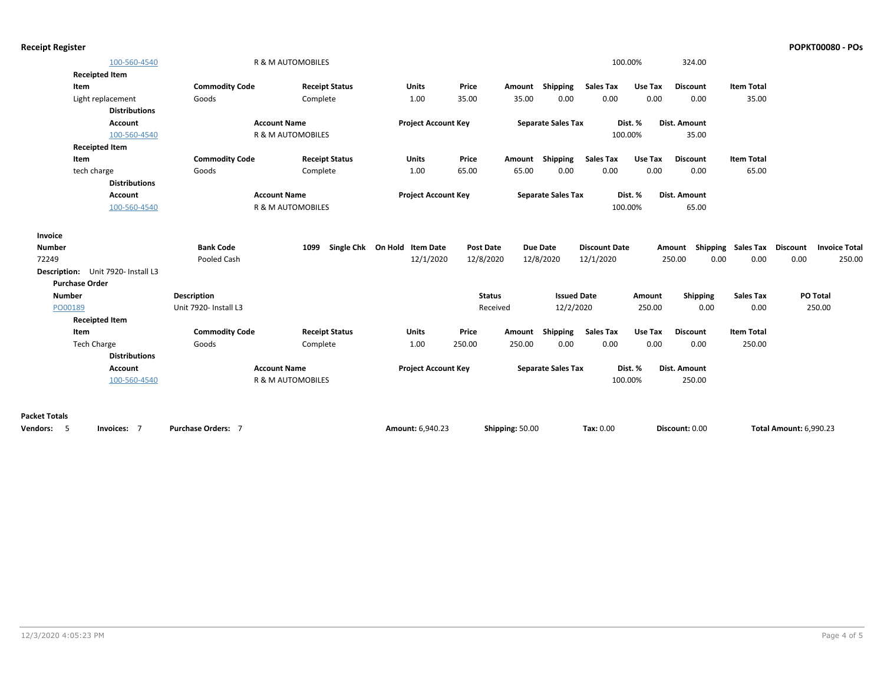| <b>Receipt Register</b> | <b>POPKT00080 - POs</b> |
|-------------------------|-------------------------|
|-------------------------|-------------------------|

|                                    | 100-560-4540         |                       | R & M AUTOMOBILES            |                       |                              |                  |                 |                           |                      | 100.00% | 324.00              |                             |                               |                      |
|------------------------------------|----------------------|-----------------------|------------------------------|-----------------------|------------------------------|------------------|-----------------|---------------------------|----------------------|---------|---------------------|-----------------------------|-------------------------------|----------------------|
| <b>Receipted Item</b>              |                      |                       |                              |                       |                              |                  |                 |                           |                      |         |                     |                             |                               |                      |
| Item                               |                      | <b>Commodity Code</b> |                              | <b>Receipt Status</b> | Units                        | Price            |                 | Amount Shipping           | <b>Sales Tax</b>     | Use Tax | <b>Discount</b>     | <b>Item Total</b>           |                               |                      |
| Light replacement                  |                      | Goods                 | Complete                     |                       | 1.00                         | 35.00            | 35.00           | 0.00                      | 0.00                 | 0.00    | 0.00                | 35.00                       |                               |                      |
|                                    | <b>Distributions</b> |                       |                              |                       |                              |                  |                 |                           |                      |         |                     |                             |                               |                      |
|                                    | Account              |                       | <b>Account Name</b>          |                       | <b>Project Account Key</b>   |                  |                 | <b>Separate Sales Tax</b> |                      | Dist. % | <b>Dist. Amount</b> |                             |                               |                      |
|                                    | 100-560-4540         |                       | R & M AUTOMOBILES            |                       |                              |                  |                 |                           |                      | 100.00% | 35.00               |                             |                               |                      |
| <b>Receipted Item</b>              |                      |                       |                              |                       |                              |                  |                 |                           |                      |         |                     |                             |                               |                      |
| Item                               |                      | <b>Commodity Code</b> |                              | <b>Receipt Status</b> | <b>Units</b>                 | Price            |                 | Amount Shipping           | <b>Sales Tax</b>     | Use Tax | <b>Discount</b>     | <b>Item Total</b>           |                               |                      |
| tech charge                        |                      | Goods                 | Complete                     |                       | 1.00                         | 65.00            | 65.00           | 0.00                      | 0.00                 | 0.00    | 0.00                | 65.00                       |                               |                      |
|                                    | <b>Distributions</b> |                       |                              |                       |                              |                  |                 |                           |                      |         |                     |                             |                               |                      |
|                                    | <b>Account</b>       |                       | <b>Account Name</b>          |                       | <b>Project Account Key</b>   |                  |                 | <b>Separate Sales Tax</b> |                      | Dist. % | <b>Dist. Amount</b> |                             |                               |                      |
|                                    | 100-560-4540         |                       | <b>R &amp; M AUTOMOBILES</b> |                       |                              |                  |                 |                           |                      | 100.00% | 65.00               |                             |                               |                      |
|                                    |                      |                       |                              |                       |                              |                  |                 |                           |                      |         |                     |                             |                               |                      |
| Invoice                            |                      |                       |                              |                       |                              |                  |                 |                           |                      |         |                     |                             |                               |                      |
| <b>Number</b>                      |                      | <b>Bank Code</b>      | 1099                         |                       | Single Chk On Hold Item Date | <b>Post Date</b> |                 | <b>Due Date</b>           | <b>Discount Date</b> |         | Amount              | Shipping Sales Tax Discount |                               | <b>Invoice Total</b> |
| 72249                              |                      | Pooled Cash           |                              |                       | 12/1/2020                    | 12/8/2020        |                 | 12/8/2020                 | 12/1/2020            |         | 250.00              | 0.00<br>0.00                | 0.00                          | 250.00               |
| Description: Unit 7920- Install L3 |                      |                       |                              |                       |                              |                  |                 |                           |                      |         |                     |                             |                               |                      |
| <b>Purchase Order</b>              |                      |                       |                              |                       |                              |                  |                 |                           |                      |         |                     |                             |                               |                      |
| <b>Number</b>                      |                      | <b>Description</b>    |                              |                       |                              |                  | <b>Status</b>   | <b>Issued Date</b>        |                      | Amount  | Shipping            | <b>Sales Tax</b>            | PO Total                      |                      |
| PO00189                            |                      | Unit 7920- Install L3 |                              |                       |                              |                  | Received        | 12/2/2020                 |                      | 250.00  | 0.00                | 0.00                        | 250.00                        |                      |
| <b>Receipted Item</b>              |                      |                       |                              |                       |                              |                  |                 |                           |                      |         |                     |                             |                               |                      |
| Item                               |                      | <b>Commodity Code</b> |                              | <b>Receipt Status</b> | <b>Units</b>                 | Price            |                 | Amount Shipping           | <b>Sales Tax</b>     | Use Tax | <b>Discount</b>     | <b>Item Total</b>           |                               |                      |
| <b>Tech Charge</b>                 |                      | Goods                 | Complete                     |                       | 1.00                         | 250.00           | 250.00          | 0.00                      | 0.00                 | 0.00    | 0.00                | 250.00                      |                               |                      |
|                                    | <b>Distributions</b> |                       |                              |                       |                              |                  |                 |                           |                      |         |                     |                             |                               |                      |
|                                    | <b>Account</b>       |                       | <b>Account Name</b>          |                       | <b>Project Account Key</b>   |                  |                 | <b>Separate Sales Tax</b> |                      | Dist. % | <b>Dist. Amount</b> |                             |                               |                      |
|                                    | 100-560-4540         |                       | <b>R &amp; M AUTOMOBILES</b> |                       |                              |                  |                 |                           |                      | 100.00% | 250.00              |                             |                               |                      |
|                                    |                      |                       |                              |                       |                              |                  |                 |                           |                      |         |                     |                             |                               |                      |
|                                    |                      |                       |                              |                       |                              |                  |                 |                           |                      |         |                     |                             |                               |                      |
| <b>Packet Totals</b>               |                      |                       |                              |                       |                              |                  |                 |                           |                      |         |                     |                             |                               |                      |
| <b>Vendors:</b><br>- 5             | Invoices: 7          | Purchase Orders: 7    |                              |                       | Amount: 6.940.23             |                  | Shipping: 50.00 |                           | Tax: 0.00            |         | Discount: 0.00      |                             | <b>Total Amount: 6.990.23</b> |                      |